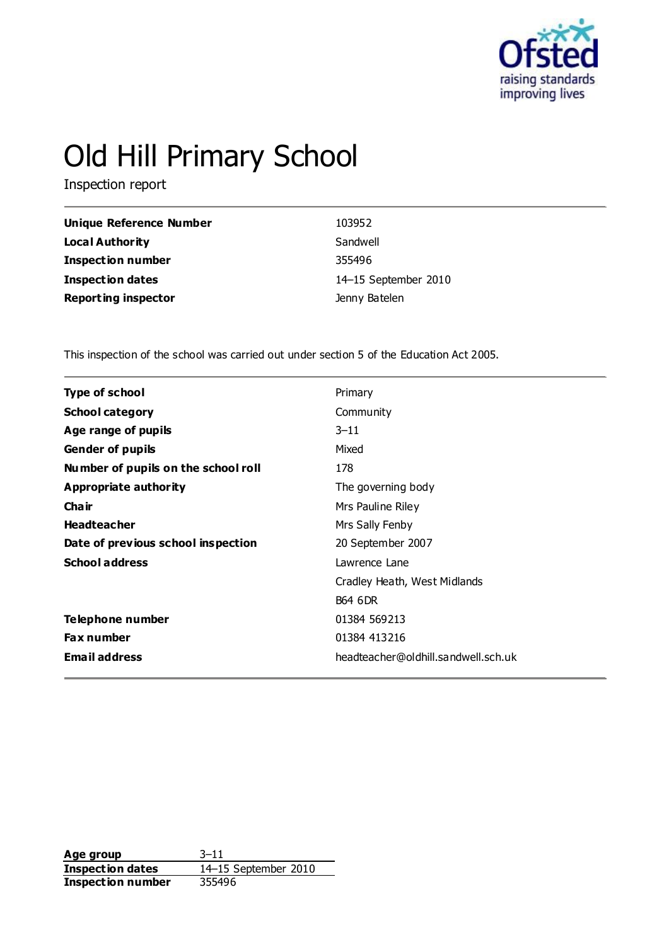

# Old Hill Primary School

Inspection report

| <b>Unique Reference Number</b> | 103952               |
|--------------------------------|----------------------|
| Local Authority                | Sandwell             |
| Inspection number              | 355496               |
| Inspection dates               | 14-15 September 2010 |
| <b>Reporting inspector</b>     | Jenny Batelen        |

This inspection of the school was carried out under section 5 of the Education Act 2005.

| <b>Type of school</b>               | Primary                             |
|-------------------------------------|-------------------------------------|
| <b>School category</b>              | Community                           |
| Age range of pupils                 | $3 - 11$                            |
| <b>Gender of pupils</b>             | Mixed                               |
| Number of pupils on the school roll | 178                                 |
| Appropriate authority               | The governing body                  |
| Cha ir                              | Mrs Pauline Riley                   |
| <b>Headteacher</b>                  | Mrs Sally Fenby                     |
| Date of previous school inspection  | 20 September 2007                   |
| <b>School address</b>               | Lawrence Lane                       |
|                                     | Cradley Heath, West Midlands        |
|                                     | <b>B64 6DR</b>                      |
| Telephone number                    | 01384 569213                        |
| <b>Fax number</b>                   | 01384 413216                        |
| <b>Email address</b>                | headteacher@oldhill.sandwell.sch.uk |
|                                     |                                     |

**Age group** 3–11 **Inspection dates** 14–15 September 2010 **Inspection number** 355496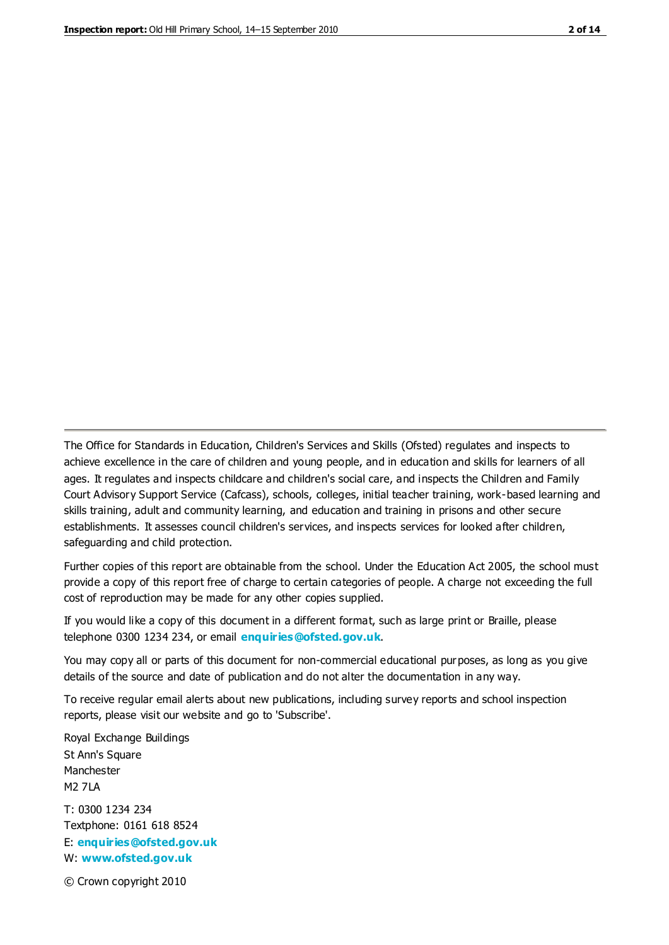The Office for Standards in Education, Children's Services and Skills (Ofsted) regulates and inspects to achieve excellence in the care of children and young people, and in education and skills for learners of all ages. It regulates and inspects childcare and children's social care, and inspects the Children and Family Court Advisory Support Service (Cafcass), schools, colleges, initial teacher training, work-based learning and skills training, adult and community learning, and education and training in prisons and other secure establishments. It assesses council children's services, and inspects services for looked after children, safeguarding and child protection.

Further copies of this report are obtainable from the school. Under the Education Act 2005, the school must provide a copy of this report free of charge to certain categories of people. A charge not exceeding the full cost of reproduction may be made for any other copies supplied.

If you would like a copy of this document in a different format, such as large print or Braille, please telephone 0300 1234 234, or email **[enquiries@ofsted.gov.uk](mailto:enquiries@ofsted.gov.uk)**.

You may copy all or parts of this document for non-commercial educational purposes, as long as you give details of the source and date of publication and do not alter the documentation in any way.

To receive regular email alerts about new publications, including survey reports and school inspection reports, please visit our website and go to 'Subscribe'.

Royal Exchange Buildings St Ann's Square Manchester M2 7LA T: 0300 1234 234 Textphone: 0161 618 8524 E: **[enquiries@ofsted.gov.uk](mailto:enquiries@ofsted.gov.uk)**

W: **[www.ofsted.gov.uk](http://www.ofsted.gov.uk/)**

© Crown copyright 2010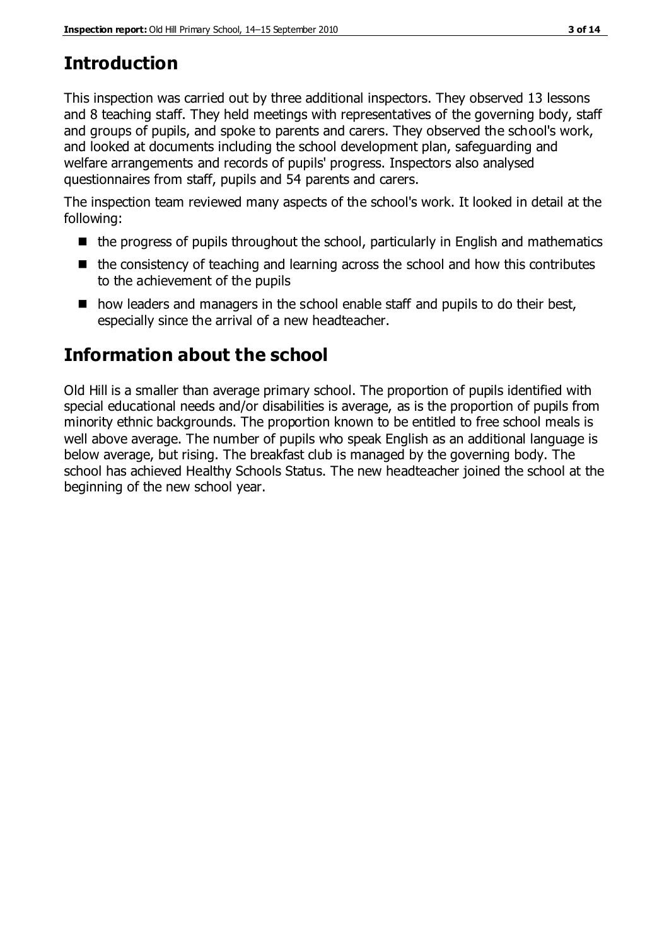# **Introduction**

This inspection was carried out by three additional inspectors. They observed 13 lessons and 8 teaching staff. They held meetings with representatives of the governing body, staff and groups of pupils, and spoke to parents and carers. They observed the school's work, and looked at documents including the school development plan, safeguarding and welfare arrangements and records of pupils' progress. Inspectors also analysed questionnaires from staff, pupils and 54 parents and carers.

The inspection team reviewed many aspects of the school's work. It looked in detail at the following:

- $\blacksquare$  the progress of pupils throughout the school, particularly in English and mathematics
- $\blacksquare$  the consistency of teaching and learning across the school and how this contributes to the achievement of the pupils
- $\blacksquare$  how leaders and managers in the school enable staff and pupils to do their best, especially since the arrival of a new headteacher.

# **Information about the school**

Old Hill is a smaller than average primary school. The proportion of pupils identified with special educational needs and/or disabilities is average, as is the proportion of pupils from minority ethnic backgrounds. The proportion known to be entitled to free school meals is well above average. The number of pupils who speak English as an additional language is below average, but rising. The breakfast club is managed by the governing body. The school has achieved Healthy Schools Status. The new headteacher joined the school at the beginning of the new school year.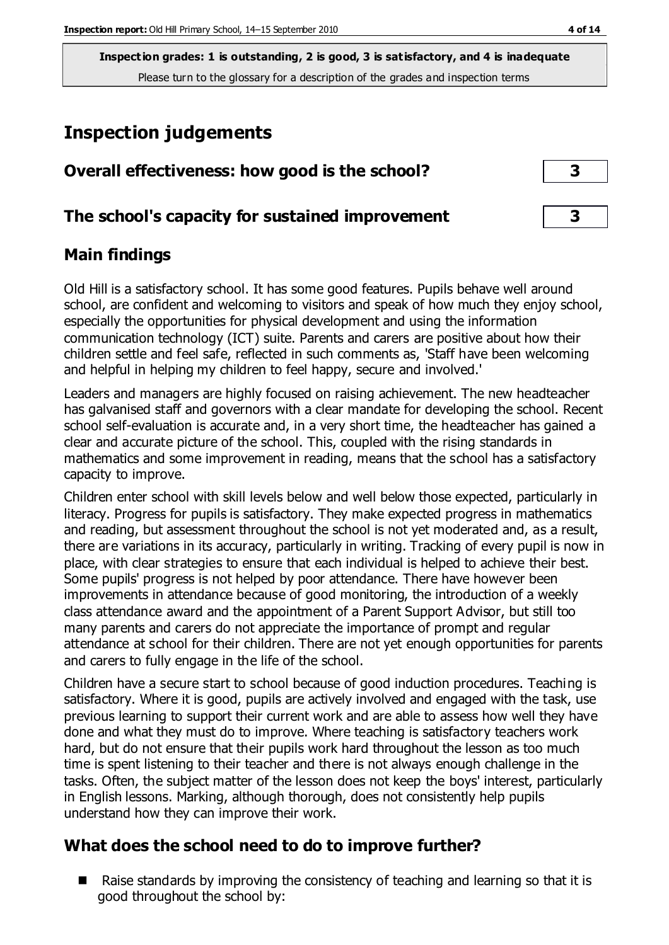**Inspection grades: 1 is outstanding, 2 is good, 3 is satisfactory, and 4 is inadequate** Please turn to the glossary for a description of the grades and inspection terms

## **Inspection judgements**

| Overall effectiveness: how good is the school?  |  |
|-------------------------------------------------|--|
| The school's capacity for sustained improvement |  |

### **Main findings**

Old Hill is a satisfactory school. It has some good features. Pupils behave well around school, are confident and welcoming to visitors and speak of how much they enjoy school, especially the opportunities for physical development and using the information communication technology (ICT) suite. Parents and carers are positive about how their children settle and feel safe, reflected in such comments as, 'Staff have been welcoming and helpful in helping my children to feel happy, secure and involved.'

Leaders and managers are highly focused on raising achievement. The new headteacher has galvanised staff and governors with a clear mandate for developing the school. Recent school self-evaluation is accurate and, in a very short time, the headteacher has gained a clear and accurate picture of the school. This, coupled with the rising standards in mathematics and some improvement in reading, means that the school has a satisfactory capacity to improve.

Children enter school with skill levels below and well below those expected, particularly in literacy. Progress for pupils is satisfactory. They make expected progress in mathematics and reading, but assessment throughout the school is not yet moderated and, as a result, there are variations in its accuracy, particularly in writing. Tracking of every pupil is now in place, with clear strategies to ensure that each individual is helped to achieve their best. Some pupils' progress is not helped by poor attendance. There have however been improvements in attendance because of good monitoring, the introduction of a weekly class attendance award and the appointment of a Parent Support Advisor, but still too many parents and carers do not appreciate the importance of prompt and regular attendance at school for their children. There are not yet enough opportunities for parents and carers to fully engage in the life of the school.

Children have a secure start to school because of good induction procedures. Teaching is satisfactory. Where it is good, pupils are actively involved and engaged with the task, use previous learning to support their current work and are able to assess how well they have done and what they must do to improve. Where teaching is satisfactory teachers work hard, but do not ensure that their pupils work hard throughout the lesson as too much time is spent listening to their teacher and there is not always enough challenge in the tasks. Often, the subject matter of the lesson does not keep the boys' interest, particularly in English lessons. Marking, although thorough, does not consistently help pupils understand how they can improve their work.

## **What does the school need to do to improve further?**

■ Raise standards by improving the consistency of teaching and learning so that it is good throughout the school by: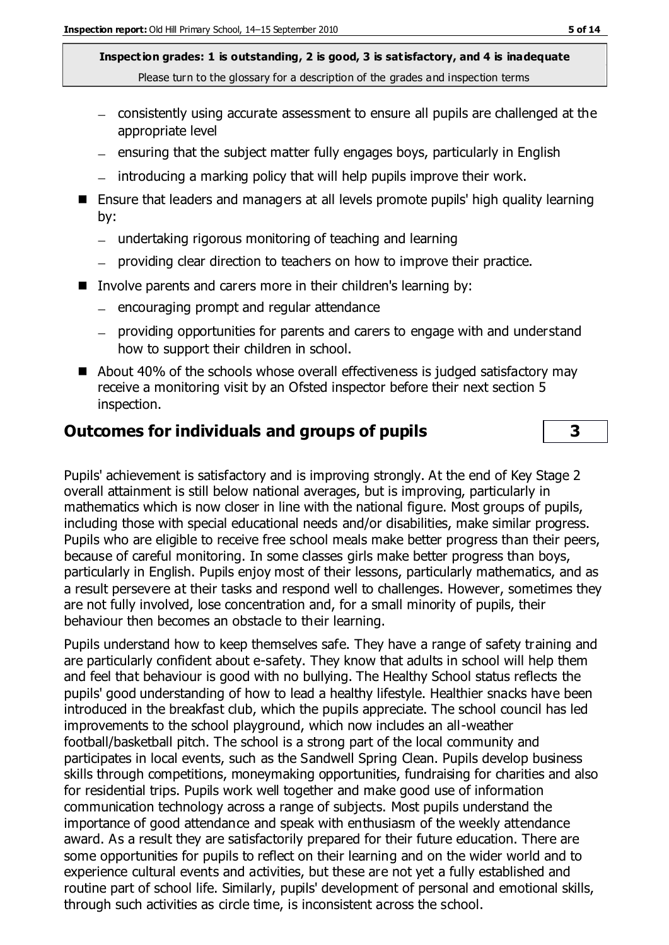**Inspection grades: 1 is outstanding, 2 is good, 3 is satisfactory, and 4 is inadequate** Please turn to the glossary for a description of the grades and inspection terms

- consistently using accurate assessment to ensure all pupils are challenged at the appropriate level
- ensuring that the subject matter fully engages boys, particularly in English
- $-$  introducing a marking policy that will help pupils improve their work.
- Ensure that leaders and managers at all levels promote pupils' high quality learning by:
	- undertaking rigorous monitoring of teaching and learning
	- providing clear direction to teachers on how to improve their practice.
- Involve parents and carers more in their children's learning by:
	- $-$  encouraging prompt and regular attendance
	- providing opportunities for parents and carers to engage with and understand how to support their children in school.
- About 40% of the schools whose overall effectiveness is judged satisfactory may receive a monitoring visit by an Ofsted inspector before their next section 5 inspection.

## **Outcomes for individuals and groups of pupils 3**

Pupils' achievement is satisfactory and is improving strongly. At the end of Key Stage 2 overall attainment is still below national averages, but is improving, particularly in mathematics which is now closer in line with the national figure. Most groups of pupils, including those with special educational needs and/or disabilities, make similar progress. Pupils who are eligible to receive free school meals make better progress than their peers, because of careful monitoring. In some classes girls make better progress than boys, particularly in English. Pupils enjoy most of their lessons, particularly mathematics, and as a result persevere at their tasks and respond well to challenges. However, sometimes they are not fully involved, lose concentration and, for a small minority of pupils, their behaviour then becomes an obstacle to their learning.

Pupils understand how to keep themselves safe. They have a range of safety training and are particularly confident about e-safety. They know that adults in school will help them and feel that behaviour is good with no bullying. The Healthy School status reflects the pupils' good understanding of how to lead a healthy lifestyle. Healthier snacks have been introduced in the breakfast club, which the pupils appreciate. The school council has led improvements to the school playground, which now includes an all-weather football/basketball pitch. The school is a strong part of the local community and participates in local events, such as the Sandwell Spring Clean. Pupils develop business skills through competitions, moneymaking opportunities, fundraising for charities and also for residential trips. Pupils work well together and make good use of information communication technology across a range of subjects. Most pupils understand the importance of good attendance and speak with enthusiasm of the weekly attendance award. As a result they are satisfactorily prepared for their future education. There are some opportunities for pupils to reflect on their learning and on the wider world and to experience cultural events and activities, but these are not yet a fully established and routine part of school life. Similarly, pupils' development of personal and emotional skills, through such activities as circle time, is inconsistent across the school.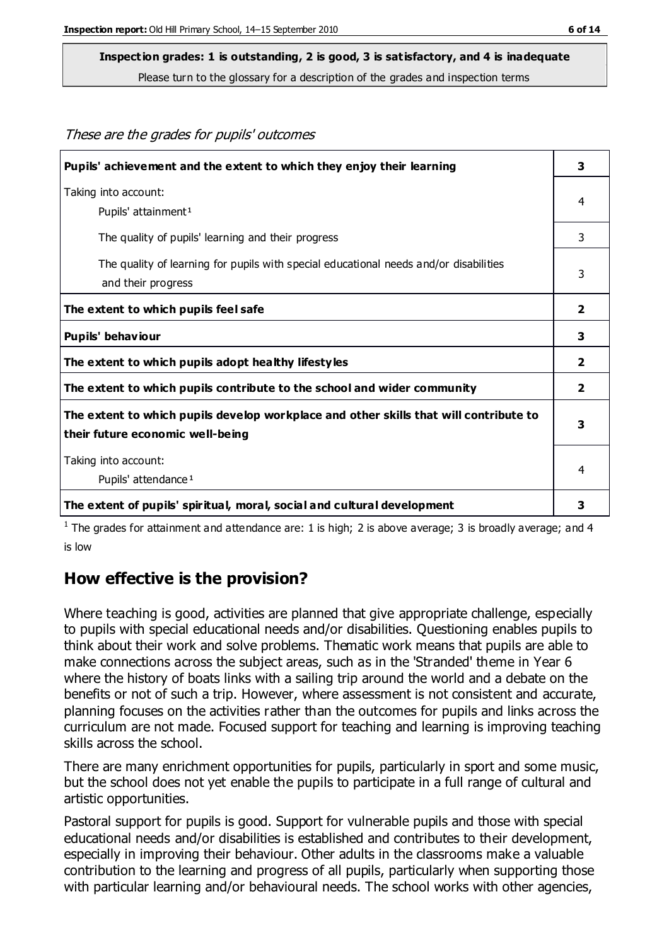These are the grades for pupils' outcomes

## **Inspection grades: 1 is outstanding, 2 is good, 3 is satisfactory, and 4 is inadequate**

Please turn to the glossary for a description of the grades and inspection terms

| Pupils' achievement and the extent to which they enjoy their learning                                                     | 3                       |
|---------------------------------------------------------------------------------------------------------------------------|-------------------------|
| Taking into account:<br>Pupils' attainment <sup>1</sup>                                                                   | 4                       |
| The quality of pupils' learning and their progress                                                                        | 3                       |
| The quality of learning for pupils with special educational needs and/or disabilities<br>and their progress               | 3                       |
| The extent to which pupils feel safe                                                                                      | $\overline{\mathbf{2}}$ |
| Pupils' behaviour                                                                                                         | 3                       |
| The extent to which pupils adopt healthy lifestyles                                                                       | 2                       |
| The extent to which pupils contribute to the school and wider community                                                   | 2                       |
| The extent to which pupils develop workplace and other skills that will contribute to<br>their future economic well-being | 3                       |
| Taking into account:<br>Pupils' attendance <sup>1</sup>                                                                   | 4                       |
| The extent of pupils' spiritual, moral, social and cultural development                                                   | 3                       |

<sup>1</sup> The grades for attainment and attendance are: 1 is high; 2 is above average; 3 is broadly average; and 4 is low

#### **How effective is the provision?**

Where teaching is good, activities are planned that give appropriate challenge, especially to pupils with special educational needs and/or disabilities. Questioning enables pupils to think about their work and solve problems. Thematic work means that pupils are able to make connections across the subject areas, such as in the 'Stranded' theme in Year 6 where the history of boats links with a sailing trip around the world and a debate on the benefits or not of such a trip. However, where assessment is not consistent and accurate, planning focuses on the activities rather than the outcomes for pupils and links across the curriculum are not made. Focused support for teaching and learning is improving teaching skills across the school.

There are many enrichment opportunities for pupils, particularly in sport and some music, but the school does not yet enable the pupils to participate in a full range of cultural and artistic opportunities.

Pastoral support for pupils is good. Support for vulnerable pupils and those with special educational needs and/or disabilities is established and contributes to their development, especially in improving their behaviour. Other adults in the classrooms make a valuable contribution to the learning and progress of all pupils, particularly when supporting those with particular learning and/or behavioural needs. The school works with other agencies,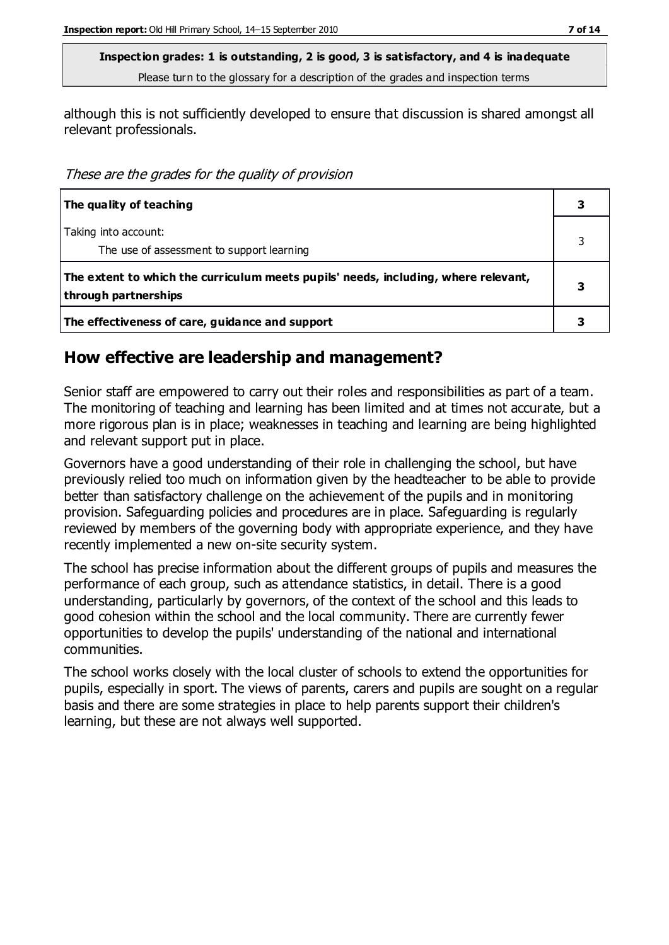**Inspection grades: 1 is outstanding, 2 is good, 3 is satisfactory, and 4 is inadequate** Please turn to the glossary for a description of the grades and inspection terms

although this is not sufficiently developed to ensure that discussion is shared amongst all relevant professionals.

These are the grades for the quality of provision

| The quality of teaching                                                                                    |  |
|------------------------------------------------------------------------------------------------------------|--|
| Taking into account:<br>The use of assessment to support learning                                          |  |
| The extent to which the curriculum meets pupils' needs, including, where relevant,<br>through partnerships |  |
| The effectiveness of care, guidance and support                                                            |  |

#### **How effective are leadership and management?**

Senior staff are empowered to carry out their roles and responsibilities as part of a team. The monitoring of teaching and learning has been limited and at times not accurate, but a more rigorous plan is in place; weaknesses in teaching and learning are being highlighted and relevant support put in place.

Governors have a good understanding of their role in challenging the school, but have previously relied too much on information given by the headteacher to be able to provide better than satisfactory challenge on the achievement of the pupils and in monitoring provision. Safeguarding policies and procedures are in place. Safeguarding is regularly reviewed by members of the governing body with appropriate experience, and they have recently implemented a new on-site security system.

The school has precise information about the different groups of pupils and measures the performance of each group, such as attendance statistics, in detail. There is a good understanding, particularly by governors, of the context of the school and this leads to good cohesion within the school and the local community. There are currently fewer opportunities to develop the pupils' understanding of the national and international communities.

The school works closely with the local cluster of schools to extend the opportunities for pupils, especially in sport. The views of parents, carers and pupils are sought on a regular basis and there are some strategies in place to help parents support their children's learning, but these are not always well supported.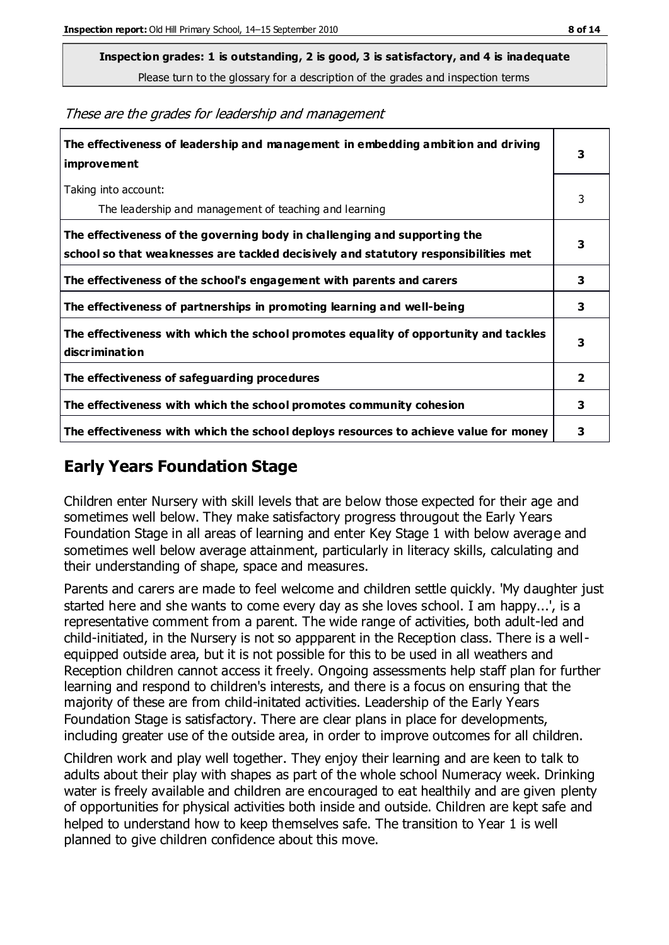**Inspection grades: 1 is outstanding, 2 is good, 3 is satisfactory, and 4 is inadequate**

Please turn to the glossary for a description of the grades and inspection terms

These are the grades for leadership and management

| The effectiveness of leadership and management in embedding ambition and driving<br>improvement                                                                  |                         |
|------------------------------------------------------------------------------------------------------------------------------------------------------------------|-------------------------|
| Taking into account:<br>The leadership and management of teaching and learning                                                                                   | 3                       |
| The effectiveness of the governing body in challenging and supporting the<br>school so that weaknesses are tackled decisively and statutory responsibilities met | 3                       |
| The effectiveness of the school's engagement with parents and carers                                                                                             | 3                       |
| The effectiveness of partnerships in promoting learning and well-being                                                                                           | 3                       |
| The effectiveness with which the school promotes equality of opportunity and tackles<br>discrimination                                                           | 3                       |
| The effectiveness of safeguarding procedures                                                                                                                     | $\overline{\mathbf{2}}$ |
| The effectiveness with which the school promotes community cohesion                                                                                              |                         |
| The effectiveness with which the school deploys resources to achieve value for money                                                                             | 3                       |

#### **Early Years Foundation Stage**

Children enter Nursery with skill levels that are below those expected for their age and sometimes well below. They make satisfactory progress througout the Early Years Foundation Stage in all areas of learning and enter Key Stage 1 with below average and sometimes well below average attainment, particularly in literacy skills, calculating and their understanding of shape, space and measures.

Parents and carers are made to feel welcome and children settle quickly. 'My daughter just started here and she wants to come every day as she loves school. I am happy...', is a representative comment from a parent. The wide range of activities, both adult-led and child-initiated, in the Nursery is not so appparent in the Reception class. There is a wellequipped outside area, but it is not possible for this to be used in all weathers and Reception children cannot access it freely. Ongoing assessments help staff plan for further learning and respond to children's interests, and there is a focus on ensuring that the majority of these are from child-initated activities. Leadership of the Early Years Foundation Stage is satisfactory. There are clear plans in place for developments, including greater use of the outside area, in order to improve outcomes for all children.

Children work and play well together. They enjoy their learning and are keen to talk to adults about their play with shapes as part of the whole school Numeracy week. Drinking water is freely available and children are encouraged to eat healthily and are given plenty of opportunities for physical activities both inside and outside. Children are kept safe and helped to understand how to keep themselves safe. The transition to Year 1 is well planned to give children confidence about this move.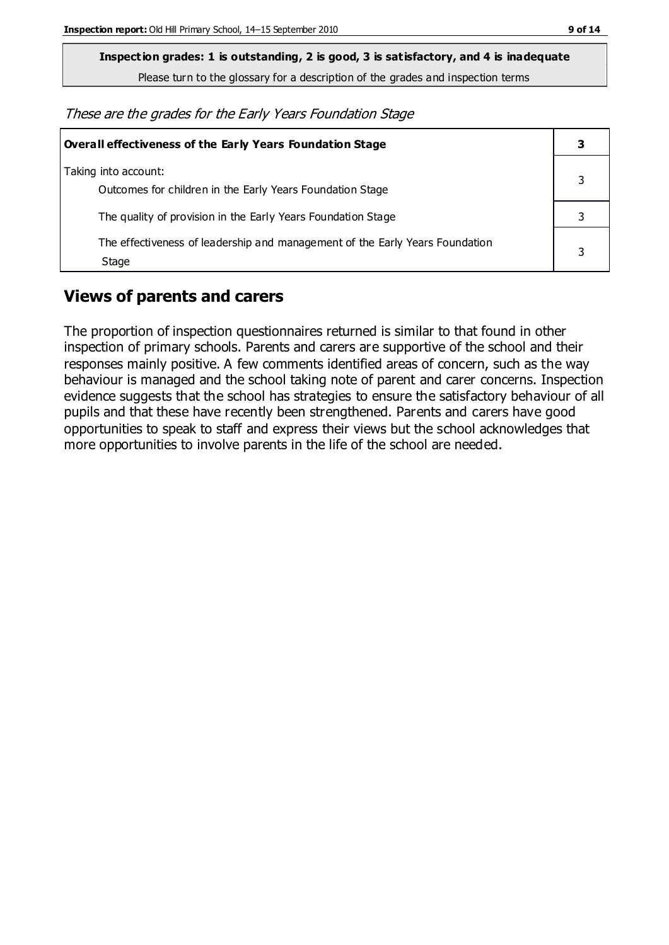**Inspection grades: 1 is outstanding, 2 is good, 3 is satisfactory, and 4 is inadequate**

Please turn to the glossary for a description of the grades and inspection terms

These are the grades for the Early Years Foundation Stage

| Overall effectiveness of the Early Years Foundation Stage                             |   |
|---------------------------------------------------------------------------------------|---|
| Taking into account:<br>Outcomes for children in the Early Years Foundation Stage     |   |
| The quality of provision in the Early Years Foundation Stage                          |   |
| The effectiveness of leadership and management of the Early Years Foundation<br>Stage | 3 |

### **Views of parents and carers**

The proportion of inspection questionnaires returned is similar to that found in other inspection of primary schools. Parents and carers are supportive of the school and their responses mainly positive. A few comments identified areas of concern, such as the way behaviour is managed and the school taking note of parent and carer concerns. Inspection evidence suggests that the school has strategies to ensure the satisfactory behaviour of all pupils and that these have recently been strengthened. Parents and carers have good opportunities to speak to staff and express their views but the school acknowledges that more opportunities to involve parents in the life of the school are needed.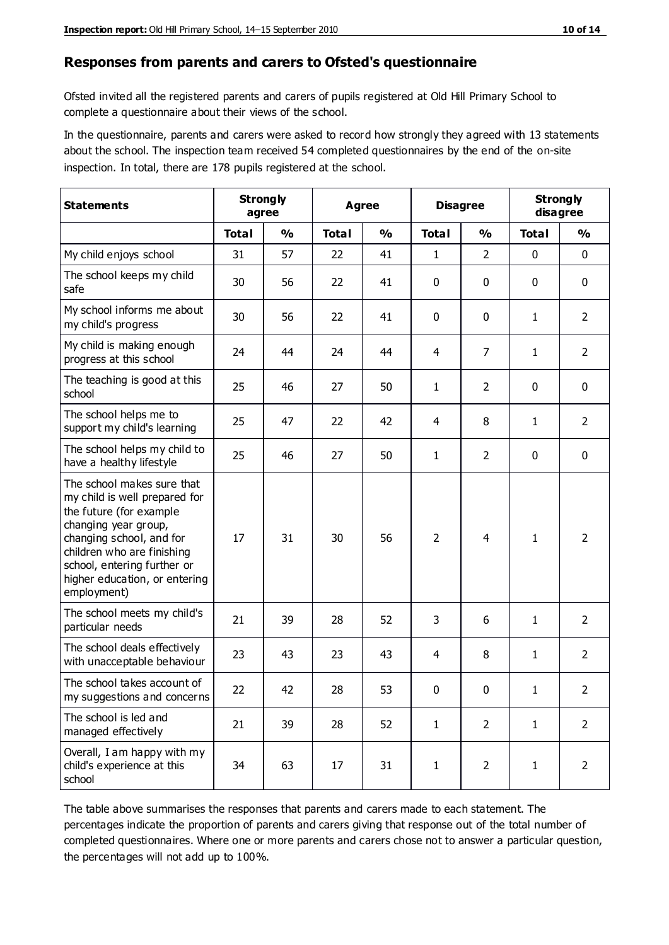#### **Responses from parents and carers to Ofsted's questionnaire**

Ofsted invited all the registered parents and carers of pupils registered at Old Hill Primary School to complete a questionnaire about their views of the school.

In the questionnaire, parents and carers were asked to record how strongly they agreed with 13 statements about the school. The inspection team received 54 completed questionnaires by the end of the on-site inspection. In total, there are 178 pupils registered at the school.

| <b>Statements</b>                                                                                                                                                                                                                                       | <b>Strongly</b><br>agree |               | <b>Agree</b> |               |                | <b>Disagree</b> |              | <b>Strongly</b><br>disagree |  |
|---------------------------------------------------------------------------------------------------------------------------------------------------------------------------------------------------------------------------------------------------------|--------------------------|---------------|--------------|---------------|----------------|-----------------|--------------|-----------------------------|--|
|                                                                                                                                                                                                                                                         | <b>Total</b>             | $\frac{0}{0}$ | <b>Total</b> | $\frac{0}{0}$ | <b>Total</b>   | $\frac{0}{0}$   | <b>Total</b> | %                           |  |
| My child enjoys school                                                                                                                                                                                                                                  | 31                       | 57            | 22           | 41            | 1              | $\overline{2}$  | $\mathbf 0$  | $\mathbf 0$                 |  |
| The school keeps my child<br>safe                                                                                                                                                                                                                       | 30                       | 56            | 22           | 41            | 0              | 0               | $\mathbf 0$  | $\mathbf 0$                 |  |
| My school informs me about<br>my child's progress                                                                                                                                                                                                       | 30                       | 56            | 22           | 41            | 0              | 0               | 1            | $\overline{2}$              |  |
| My child is making enough<br>progress at this school                                                                                                                                                                                                    | 24                       | 44            | 24           | 44            | 4              | $\overline{7}$  | 1            | $\overline{2}$              |  |
| The teaching is good at this<br>school                                                                                                                                                                                                                  | 25                       | 46            | 27           | 50            | $\mathbf{1}$   | $\overline{2}$  | $\mathbf 0$  | $\mathbf 0$                 |  |
| The school helps me to<br>support my child's learning                                                                                                                                                                                                   | 25                       | 47            | 22           | 42            | 4              | 8               | 1            | $\overline{2}$              |  |
| The school helps my child to<br>have a healthy lifestyle                                                                                                                                                                                                | 25                       | 46            | 27           | 50            | 1              | $\overline{2}$  | $\mathbf 0$  | $\mathbf 0$                 |  |
| The school makes sure that<br>my child is well prepared for<br>the future (for example<br>changing year group,<br>changing school, and for<br>children who are finishing<br>school, entering further or<br>higher education, or entering<br>employment) | 17                       | 31            | 30           | 56            | $\overline{2}$ | 4               | $\mathbf{1}$ | $\overline{2}$              |  |
| The school meets my child's<br>particular needs                                                                                                                                                                                                         | 21                       | 39            | 28           | 52            | 3              | 6               | 1            | $\overline{2}$              |  |
| The school deals effectively<br>with unacceptable behaviour                                                                                                                                                                                             | 23                       | 43            | 23           | 43            | 4              | 8               | 1            | $\overline{2}$              |  |
| The school takes account of<br>my suggestions and concerns                                                                                                                                                                                              | 22                       | 42            | 28           | 53            | 0              | $\pmb{0}$       | 1            | 2                           |  |
| The school is led and<br>managed effectively                                                                                                                                                                                                            | 21                       | 39            | 28           | 52            | $\mathbf{1}$   | $\overline{2}$  | $\mathbf{1}$ | $\overline{2}$              |  |
| Overall, I am happy with my<br>child's experience at this<br>school                                                                                                                                                                                     | 34                       | 63            | 17           | 31            | $\mathbf{1}$   | $\overline{2}$  | $\mathbf{1}$ | $\overline{2}$              |  |

The table above summarises the responses that parents and carers made to each statement. The percentages indicate the proportion of parents and carers giving that response out of the total number of completed questionnaires. Where one or more parents and carers chose not to answer a particular question, the percentages will not add up to 100%.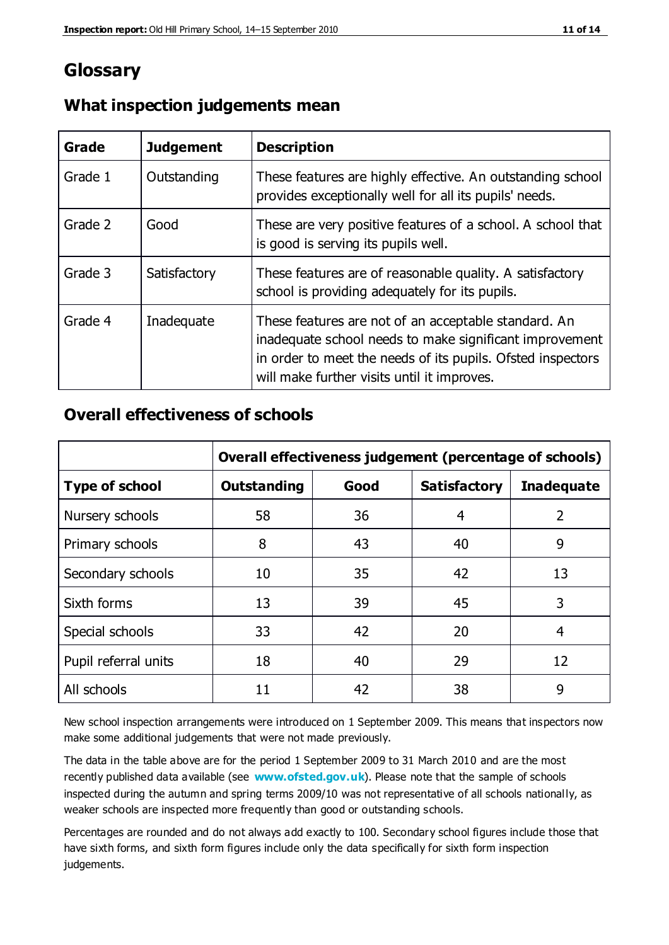## **Glossary**

| Grade   | <b>Judgement</b> | <b>Description</b>                                                                                                                                                                                                            |
|---------|------------------|-------------------------------------------------------------------------------------------------------------------------------------------------------------------------------------------------------------------------------|
| Grade 1 | Outstanding      | These features are highly effective. An outstanding school<br>provides exceptionally well for all its pupils' needs.                                                                                                          |
| Grade 2 | Good             | These are very positive features of a school. A school that<br>is good is serving its pupils well.                                                                                                                            |
| Grade 3 | Satisfactory     | These features are of reasonable quality. A satisfactory<br>school is providing adequately for its pupils.                                                                                                                    |
| Grade 4 | Inadequate       | These features are not of an acceptable standard. An<br>inadequate school needs to make significant improvement<br>in order to meet the needs of its pupils. Ofsted inspectors<br>will make further visits until it improves. |

#### **What inspection judgements mean**

#### **Overall effectiveness of schools**

|                       | Overall effectiveness judgement (percentage of schools) |      |                     |                   |
|-----------------------|---------------------------------------------------------|------|---------------------|-------------------|
| <b>Type of school</b> | <b>Outstanding</b>                                      | Good | <b>Satisfactory</b> | <b>Inadequate</b> |
| Nursery schools       | 58                                                      | 36   | 4                   | 2                 |
| Primary schools       | 8                                                       | 43   | 40                  | 9                 |
| Secondary schools     | 10                                                      | 35   | 42                  | 13                |
| Sixth forms           | 13                                                      | 39   | 45                  | 3                 |
| Special schools       | 33                                                      | 42   | 20                  | 4                 |
| Pupil referral units  | 18                                                      | 40   | 29                  | 12                |
| All schools           | 11                                                      | 42   | 38                  | 9                 |

New school inspection arrangements were introduced on 1 September 2009. This means that inspectors now make some additional judgements that were not made previously.

The data in the table above are for the period 1 September 2009 to 31 March 2010 and are the most recently published data available (see **[www.ofsted.gov.uk](http://www.ofsted.gov.uk/)**). Please note that the sample of schools inspected during the autumn and spring terms 2009/10 was not representative of all schools nationally, as weaker schools are inspected more frequently than good or outstanding schools.

Percentages are rounded and do not always add exactly to 100. Secondary school figures include those that have sixth forms, and sixth form figures include only the data specifically for sixth form inspection judgements.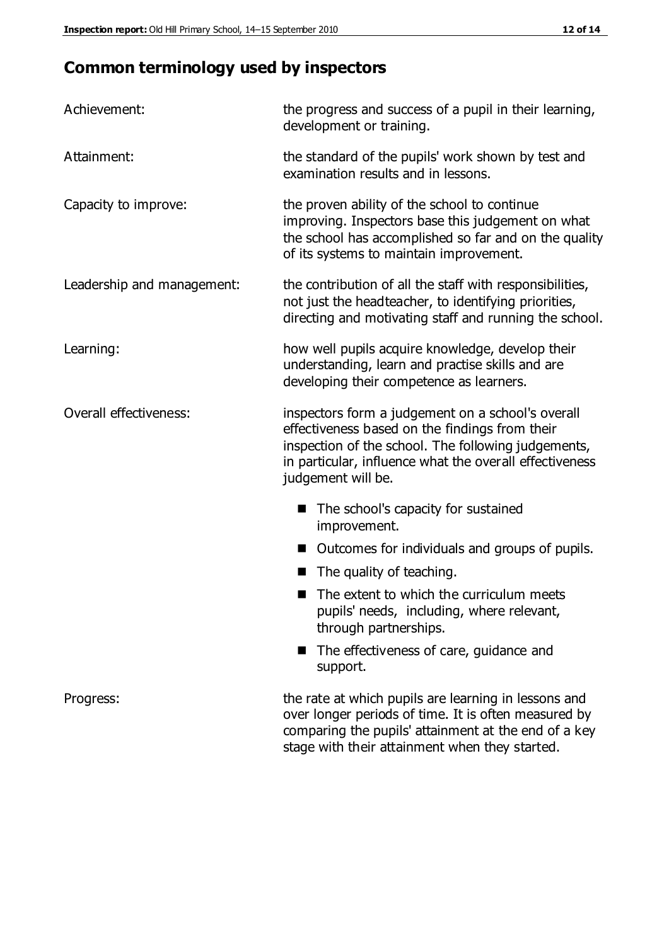## **Common terminology used by inspectors**

| Achievement:                  | the progress and success of a pupil in their learning,<br>development or training.                                                                                                                                                          |  |
|-------------------------------|---------------------------------------------------------------------------------------------------------------------------------------------------------------------------------------------------------------------------------------------|--|
| Attainment:                   | the standard of the pupils' work shown by test and<br>examination results and in lessons.                                                                                                                                                   |  |
| Capacity to improve:          | the proven ability of the school to continue<br>improving. Inspectors base this judgement on what<br>the school has accomplished so far and on the quality<br>of its systems to maintain improvement.                                       |  |
| Leadership and management:    | the contribution of all the staff with responsibilities,<br>not just the headteacher, to identifying priorities,<br>directing and motivating staff and running the school.                                                                  |  |
| Learning:                     | how well pupils acquire knowledge, develop their<br>understanding, learn and practise skills and are<br>developing their competence as learners.                                                                                            |  |
| <b>Overall effectiveness:</b> | inspectors form a judgement on a school's overall<br>effectiveness based on the findings from their<br>inspection of the school. The following judgements,<br>in particular, influence what the overall effectiveness<br>judgement will be. |  |
|                               | The school's capacity for sustained<br>improvement.                                                                                                                                                                                         |  |
|                               | Outcomes for individuals and groups of pupils.                                                                                                                                                                                              |  |
|                               | The quality of teaching.                                                                                                                                                                                                                    |  |
|                               | The extent to which the curriculum meets<br>pupils' needs, including, where relevant,<br>through partnerships.                                                                                                                              |  |
|                               | The effectiveness of care, guidance and<br>support.                                                                                                                                                                                         |  |
| Progress:                     | the rate at which pupils are learning in lessons and<br>over longer periods of time. It is often measured by<br>comparing the pupils' attainment at the end of a key                                                                        |  |

stage with their attainment when they started.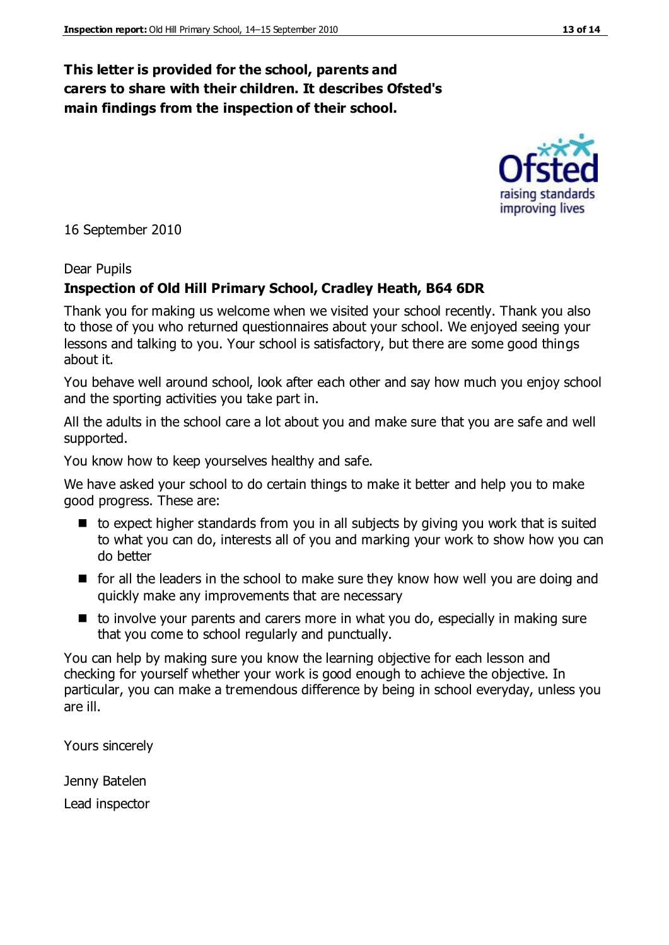#### **This letter is provided for the school, parents and carers to share with their children. It describes Ofsted's main findings from the inspection of their school.**

16 September 2010

#### Dear Pupils

#### **Inspection of Old Hill Primary School, Cradley Heath, B64 6DR**

Thank you for making us welcome when we visited your school recently. Thank you also to those of you who returned questionnaires about your school. We enjoyed seeing your lessons and talking to you. Your school is satisfactory, but there are some good things about it.

You behave well around school, look after each other and say how much you enjoy school and the sporting activities you take part in.

All the adults in the school care a lot about you and make sure that you are safe and well supported.

You know how to keep yourselves healthy and safe.

We have asked your school to do certain things to make it better and help you to make good progress. These are:

- $\blacksquare$  to expect higher standards from you in all subjects by giving you work that is suited to what you can do, interests all of you and marking your work to show how you can do better
- **F** for all the leaders in the school to make sure they know how well you are doing and quickly make any improvements that are necessary
- $\blacksquare$  to involve your parents and carers more in what you do, especially in making sure that you come to school regularly and punctually.

You can help by making sure you know the learning objective for each lesson and checking for yourself whether your work is good enough to achieve the objective. In particular, you can make a tremendous difference by being in school everyday, unless you are ill.

Yours sincerely

Jenny Batelen Lead inspector